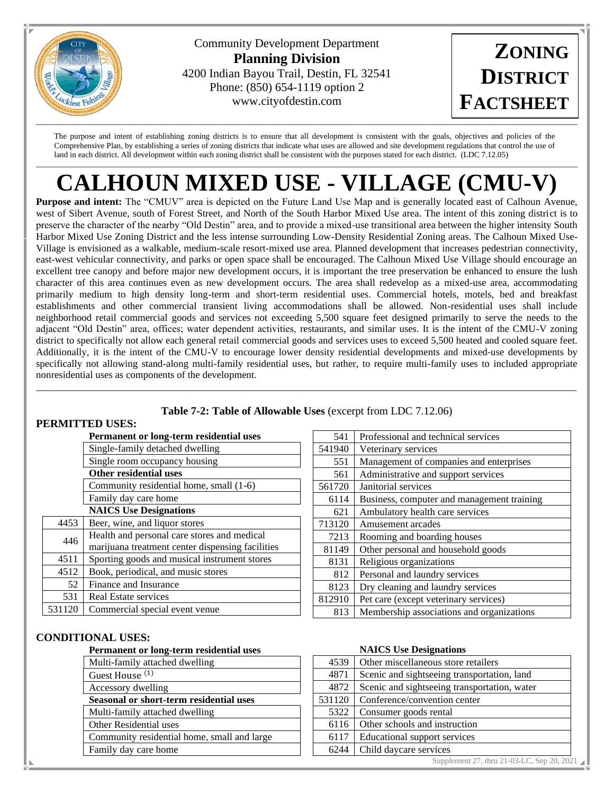

Community Development Department **Planning Division** 4200 Indian Bayou Trail, Destin, FL 32541 Phone: (850) 654-1119 option 2 www.cityofdestin.com

**ZONING DISTRICT FACTSHEET**

The purpose and intent of establishing zoning districts is to ensure that all development is consistent with the goals, objectives and policies of the Comprehensive Plan, by establishing a series of zoning districts that indicate what uses are allowed and site development regulations that control the use of land in each district. All development within each zoning district shall be consistent with the purposes stated for each district. (LDC 7.12.05)

# $\Box \rightarrow \Box \rightarrow \Box \rightarrow \Box$ **CALHOUN MIXED USE - VILLAGE (CMU-V)**

**Purpose and intent:** The "CMUV" area is depicted on the Future Land Use Map and is generally located east of Calhoun Avenue, west of Sibert Avenue, south of Forest Street, and North of the South Harbor Mixed Use area. The intent of this zoning district is to preserve the character of the nearby "Old Destin" area, and to provide a mixed-use transitional area between the higher intensity South Harbor Mixed Use Zoning District and the less intense surrounding Low-Density Residential Zoning areas. The Calhoun Mixed Use-Village is envisioned as a walkable, medium-scale resort-mixed use area. Planned development that increases pedestrian connectivity, east-west vehicular connectivity, and parks or open space shall be encouraged. The Calhoun Mixed Use Village should encourage an excellent tree canopy and before major new development occurs, it is important the tree preservation be enhanced to ensure the lush character of this area continues even as new development occurs. The area shall redevelop as a mixed-use area, accommodating primarily medium to high density long-term and short-term residential uses. Commercial hotels, motels, bed and breakfast establishments and other commercial transient living accommodations shall be allowed. Non-residential uses shall include neighborhood retail commercial goods and services not exceeding 5,500 square feet designed primarily to serve the needs to the adjacent "Old Destin" area, offices; water dependent activities, restaurants, and similar uses. It is the intent of the CMU-V zoning district to specifically not allow each general retail commercial goods and services uses to exceed 5,500 heated and cooled square feet. Additionally, it is the intent of the CMU-V to encourage lower density residential developments and mixed-use developments by specifically not allowing stand-along multi-family residential uses, but rather, to require multi-family uses to included appropriate nonresidential uses as components of the development.

# **Table 7-2: Table of Allowable Uses** (excerpt from LDC 7.12.06)

\_\_\_\_\_\_\_\_\_\_\_\_\_\_\_\_\_\_\_\_\_\_\_\_\_\_\_\_\_\_\_\_\_\_\_\_\_\_\_\_\_\_\_\_\_\_\_\_\_\_\_\_\_\_\_\_\_\_\_\_\_\_\_\_\_\_\_\_\_\_\_\_\_\_\_\_\_\_\_\_\_\_\_\_\_\_\_\_\_\_\_\_\_\_\_\_\_\_\_\_\_\_\_\_\_\_\_\_

#### **PERMITTED USES:**

| Permanent or long-term residential uses |                                                  |  |  |  |  |  |
|-----------------------------------------|--------------------------------------------------|--|--|--|--|--|
| Single-family detached dwelling         |                                                  |  |  |  |  |  |
| Single room occupancy housing           |                                                  |  |  |  |  |  |
| <b>Other residential uses</b>           |                                                  |  |  |  |  |  |
| Community residential home, small (1-6) |                                                  |  |  |  |  |  |
| Family day care home                    |                                                  |  |  |  |  |  |
| <b>NAICS</b> Use Designations           |                                                  |  |  |  |  |  |
| 4453                                    | Beer, wine, and liquor stores                    |  |  |  |  |  |
| 446                                     | Health and personal care stores and medical      |  |  |  |  |  |
|                                         | marijuana treatment center dispensing facilities |  |  |  |  |  |
| 4511                                    | Sporting goods and musical instrument stores     |  |  |  |  |  |
| 4512                                    | Book, periodical, and music stores               |  |  |  |  |  |
| 52                                      | Finance and Insurance                            |  |  |  |  |  |
| 531                                     | Real Estate services                             |  |  |  |  |  |
| 531120                                  | Commercial special event venue                   |  |  |  |  |  |

| 541    | Professional and technical services        |
|--------|--------------------------------------------|
| 541940 | Veterinary services                        |
| 551    | Management of companies and enterprises    |
| 561    | Administrative and support services        |
| 561720 | Janitorial services                        |
| 6114   | Business, computer and management training |
| 621    | Ambulatory health care services            |
| 713120 | Amusement arcades                          |
| 7213   | Rooming and boarding houses                |
| 81149  | Other personal and household goods         |
| 8131   | Religious organizations                    |
| 812    | Personal and laundry services              |
| 8123   | Dry cleaning and laundry services          |
| 812910 | Pet care (except veterinary services)      |
| 813    | Membership associations and organizations  |
|        |                                            |

## **CONDITIONAL USES:**

| Permanent or long-term residential uses     |  |  |  |
|---------------------------------------------|--|--|--|
| Multi-family attached dwelling              |  |  |  |
| Guest House <sup>(1)</sup>                  |  |  |  |
| Accessory dwelling                          |  |  |  |
| Seasonal or short-term residential uses     |  |  |  |
| Multi-family attached dwelling              |  |  |  |
| Other Residential uses                      |  |  |  |
| Community residential home, small and large |  |  |  |
| Family day care home                        |  |  |  |

### **NAICS Use Designations**

| 4539   | Other miscellaneous store retailers          |
|--------|----------------------------------------------|
| 4871   | Scenic and sightseeing transportation, land  |
| 4872   | Scenic and sightseeing transportation, water |
| 531120 | Conference/convention center                 |
| 5322   | Consumer goods rental                        |
| 6116   | Other schools and instruction                |
| 6117   | <b>Educational support services</b>          |
| 6244   | Child daycare services                       |
|        | Supplement 27, thru 21-03-LC, Sep 20, 2021   |